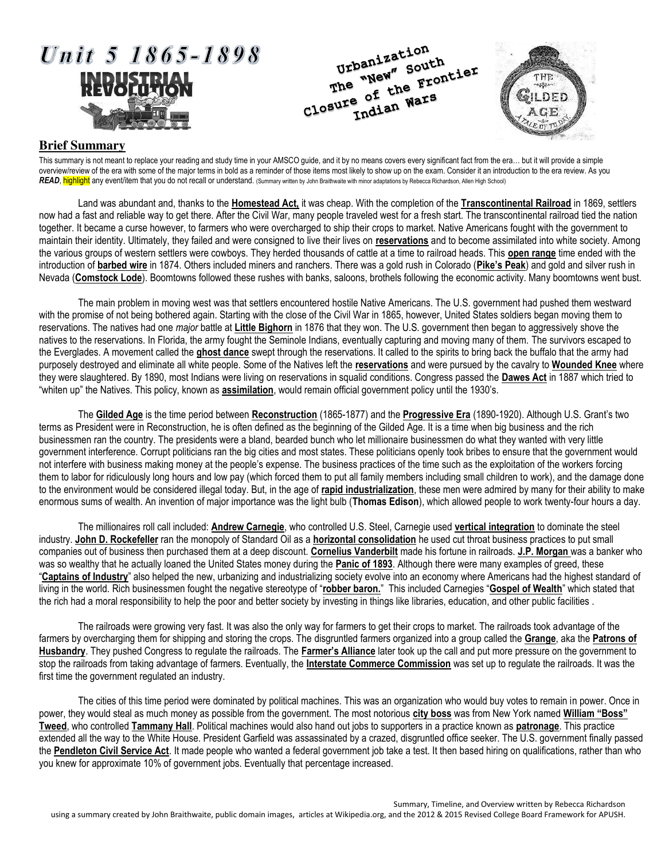

## **Brief Summary**

This summary is not meant to replace your reading and study time in your AMSCO guide, and it by no means covers every significant fact from the era… but it will provide a simple overview/review of the era with some of the major terms in bold as a reminder of those items most likely to show up on the exam. Consider it an introduction to the era review. As you *READ*, highlight any event/item that you do not recall or understand. (Summary written by John Braithwaite with minor adaptations by Rebecca Richardson, Allen High School)

Land was abundant and, thanks to the **Homestead Act,** it was cheap. With the completion of the **Transcontinental Railroad** in 1869, settlers now had a fast and reliable way to get there. After the Civil War, many people traveled west for a fresh start. The transcontinental railroad tied the nation together. It became a curse however, to farmers who were overcharged to ship their crops to market. Native Americans fought with the government to maintain their identity. Ultimately, they failed and were consigned to live their lives on **reservations** and to become assimilated into white society. Among the various groups of western settlers were cowboys. They herded thousands of cattle at a time to railroad heads. This **open range** time ended with the introduction of **barbed wire** in 1874. Others included miners and ranchers. There was a gold rush in Colorado (**Pike's Peak**) and gold and silver rush in Nevada (**Comstock Lode**). Boomtowns followed these rushes with banks, saloons, brothels following the economic activity. Many boomtowns went bust.

The main problem in moving west was that settlers encountered hostile Native Americans. The U.S. government had pushed them westward with the promise of not being bothered again. Starting with the close of the Civil War in 1865, however, United States soldiers began moving them to reservations. The natives had one *major* battle at **Little Bighorn** in 1876 that they won. The U.S. government then began to aggressively shove the natives to the reservations. In Florida, the army fought the Seminole Indians, eventually capturing and moving many of them. The survivors escaped to the Everglades. A movement called the **ghost dance** swept through the reservations. It called to the spirits to bring back the buffalo that the army had purposely destroyed and eliminate all white people. Some of the Natives left the **reservations** and were pursued by the cavalry to **Wounded Knee** where they were slaughtered. By 1890, most Indians were living on reservations in squalid conditions. Congress passed the **Dawes Act** in 1887 which tried to "whiten up" the Natives. This policy, known as **assimilation**, would remain official government policy until the 1930's.

The **Gilded Age** is the time period between **Reconstruction** (1865-1877) and the **Progressive Era** (1890-1920). Although U.S. Grant's two terms as President were in Reconstruction, he is often defined as the beginning of the Gilded Age. It is a time when big business and the rich businessmen ran the country. The presidents were a bland, bearded bunch who let millionaire businessmen do what they wanted with very little government interference. Corrupt politicians ran the big cities and most states. These politicians openly took bribes to ensure that the government would not interfere with business making money at the people's expense. The business practices of the time such as the exploitation of the workers forcing them to labor for ridiculously long hours and low pay (which forced them to put all family members including small children to work), and the damage done to the environment would be considered illegal today. But, in the age of **rapid industrialization**, these men were admired by many for their ability to make enormous sums of wealth. An invention of major importance was the light bulb (**Thomas Edison**), which allowed people to work twenty-four hours a day.

The millionaires roll call included: **Andrew Carnegie**, who controlled U.S. Steel, Carnegie used **vertical integration** to dominate the steel industry. **John D. Rockefeller** ran the monopoly of Standard Oil as a **horizontal consolidation** he used cut throat business practices to put small companies out of business then purchased them at a deep discount. **Cornelius Vanderbilt** made his fortune in railroads. **J.P. Morgan** was a banker who was so wealthy that he actually loaned the United States money during the **Panic of 1893**. Although there were many examples of greed, these "**Captains of Industry**" also helped the new, urbanizing and industrializing society evolve into an economy where Americans had the highest standard of living in the world. Rich businessmen fought the negative stereotype of "**robber baron.**" This included Carnegies "**Gospel of Wealth**" which stated that the rich had a moral responsibility to help the poor and better society by investing in things like libraries, education, and other public facilities .

The railroads were growing very fast. It was also the only way for farmers to get their crops to market. The railroads took advantage of the farmers by overcharging them for shipping and storing the crops. The disgruntled farmers organized into a group called the **Grange**, aka the **Patrons of Husbandry**. They pushed Congress to regulate the railroads. The **Farmer's Alliance** later took up the call and put more pressure on the government to stop the railroads from taking advantage of farmers. Eventually, the **Interstate Commerce Commission** was set up to regulate the railroads. It was the first time the government regulated an industry.

The cities of this time period were dominated by political machines. This was an organization who would buy votes to remain in power. Once in power, they would steal as much money as possible from the government. The most notorious **city boss** was from New York named **William "Boss" Tweed**, who controlled **Tammany Hall**. Political machines would also hand out jobs to supporters in a practice known as **patronage**. This practice extended all the way to the White House. President Garfield was assassinated by a crazed, disgruntled office seeker. The U.S. government finally passed the **Pendleton Civil Service Act**. It made people who wanted a federal government job take a test. It then based hiring on qualifications, rather than who you knew for approximate 10% of government jobs. Eventually that percentage increased.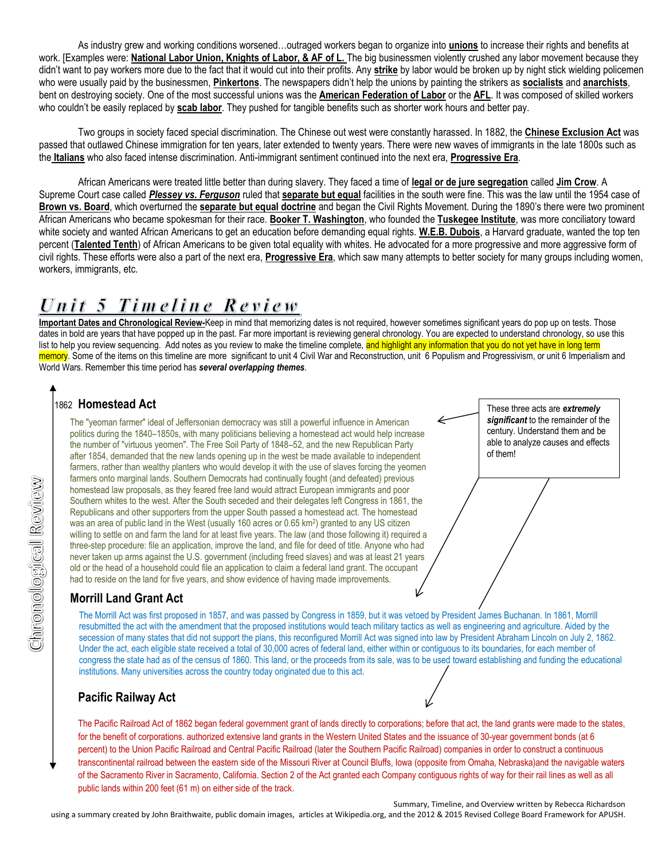As industry grew and working conditions worsened…outraged workers began to organize into **unions** to increase their rights and benefits at work. [Examples were: National Labor Union, Knights of Labor, & AF of L. The big businessmen violently crushed any labor movement because they didn't want to pay workers more due to the fact that it would cut into their profits. Any **strike** by labor would be broken up by night stick wielding policemen who were usually paid by the businessmen, **Pinkertons**. The newspapers didn't help the unions by painting the strikers as **socialists** and **anarchists**, bent on destroying society. One of the most successful unions was the **American Federation of Labor** or the **AFL**. It was composed of skilled workers who couldn't be easily replaced by **scab labor**. They pushed for tangible benefits such as shorter work hours and better pay.

Two groups in society faced special discrimination. The Chinese out west were constantly harassed. In 1882, the **Chinese Exclusion Act** was passed that outlawed Chinese immigration for ten years, later extended to twenty years. There were new waves of immigrants in the late 1800s such as the **Italians** who also faced intense discrimination. Anti-immigrant sentiment continued into the next era, **Progressive Era**.

African Americans were treated little better than during slavery. They faced a time of **legal or de jure segregation** called **Jim Crow**. A Supreme Court case called *Plessey vs. Ferguson* ruled that **separate but equal** facilities in the south were fine. This was the law until the 1954 case of **Brown vs. Board**, which overturned the **separate but equal doctrine** and began the Civil Rights Movement. During the 1890's there were two prominent African Americans who became spokesman for their race. **Booker T. Washington**, who founded the **Tuskegee Institute**, was more conciliatory toward white society and wanted African Americans to get an education before demanding equal rights. **W.E.B. Dubois**, a Harvard graduate, wanted the top ten percent (Talented Tenth) of African Americans to be given total equality with whites. He advocated for a more progressive and more aggressive form of civil rights. These efforts were also a part of the next era, **Progressive Era**, which saw many attempts to better society for many groups including women, workers, immigrants, etc.

# Unit 5 Timeline Review

**Important Dates and Chronological Review-**Keep in mind that memorizing dates is not required, however sometimes significant years do pop up on tests. Those dates in bold are years that have popped up in the past. Far more important is reviewing general chronology. You are expected to understand chronology, so use this list to help you review sequencing. Add notes as you review to make the timeline complete, and highlight any information that you do not yet have in long term memory. Some of the items on this timeline are more significant to unit 4 Civil War and Reconstruction, unit 6 Populism and Progressivism, or unit 6 Imperialism and World Wars. Remember this time period has *several overlapping themes*.

> These three acts are *extremely significant* to the remainder of the century. Understand them and be able to analyze causes and effects

of them!

# 1862 **Homestead Act**

**Morrison Internal Sources Controls and Sources Controls and Southern whites to the west. After Republicans and other supporter was an area of public land in the willing to settle on and farm the little winds and settle on** The "yeoman farmer" ideal of Jeffersonian democracy was still a powerful influence in American politics during the 1840–1850s, with many politicians believing a homestead act would help increase the number of "virtuous yeomen". The Free Soil Party of 1848–52, and the new Republican Party after 1854, demanded that the new lands opening up in the west be made available to independent farmers, rather than wealthy planters who would develop it with the use of slaves forcing the yeomen farmers onto marginal lands. Southern Democrats had continually fought (and defeated) previous homestead law proposals, as they feared free land would attract European immigrants and poor Southern whites to the west. After the South seceded and their delegates left Congress in 1861, the Republicans and other supporters from the upper South passed a homestead act. The homestead was an area of public land in the West (usually 160 acres or 0.65 km<sup>2</sup>) granted to any US citizen willing to settle on and farm the land for at least five years. The law (and those following it) required a three-step procedure: file an application, improve the land, and file for deed of title. Anyone who had never taken up arms against the U.S. government (including freed slaves) and was at least 21 years old or the head of a household could file an application to claim a federal land grant. The occupant had to reside on the land for five years, and show evidence of having made improvements.

The Morrill Act was first proposed in 1857, and was passed by Congress in 1859, but it was vetoed by President James Buchanan. In 1861, Morrill resubmitted the act with the amendment that the proposed institutions would teach military tactics as well as engineering and agriculture. Aided by the secession of many states that did not support the plans, this reconfigured Morrill Act was signed into law by President Abraham Lincoln on July 2, 1862. Under the act, each eligible state received a total of 30,000 acres of federal land, either within or contiguous to its boundaries, for each member of congress the state had as of the census of 1860. This land, or the proceeds from its sale, was to be used toward establishing and funding the educational institutions. Many universities across the country today originated due to this act.

# **Pacific Railway Act**

The Pacific Railroad Act of 1862 began federal government grant of lands directly to corporations; before that act, the land grants were made to the states, for the benefit of corporations. authorized extensive land grants in the Western United States and the issuance of 30-year government bonds (at 6 percent) to the Union Pacific Railroad and Central Pacific Railroad (later the Southern Pacific Railroad) companies in order to construct a continuous transcontinental railroad between the eastern side of the Missouri River at Council Bluffs, Iowa (opposite from Omaha, Nebraska)and the navigable waters of the Sacramento River in Sacramento, California. Section 2 of the Act granted each Company contiguous rights of way for their rail lines as well as all public lands within 200 feet (61 m) on either side of the track.

Summary, Timeline, and Overview written by Rebecca Richardson using a summary created by John Braithwaite, public domain images, articles at Wikipedia.org, and the 2012 & 2015 Revised College Board Framework for APUSH.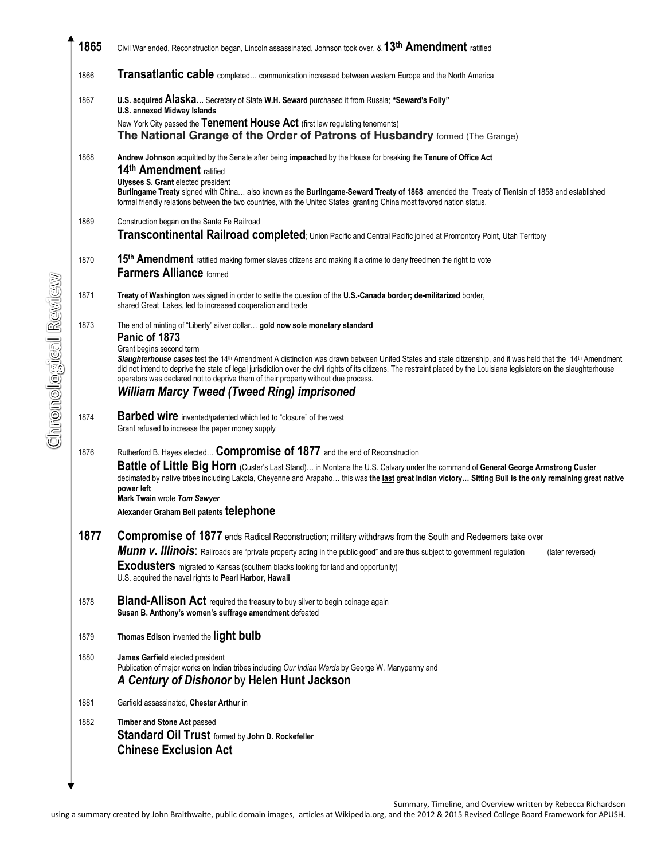| 1865 | Civil War ended, Reconstruction began, Lincoln assassinated, Johnson took over, & 13 <sup>th</sup> Amendment ratified                                                                                                                                                                                                                                                                                                                                                                                                                                                                                                           |
|------|---------------------------------------------------------------------------------------------------------------------------------------------------------------------------------------------------------------------------------------------------------------------------------------------------------------------------------------------------------------------------------------------------------------------------------------------------------------------------------------------------------------------------------------------------------------------------------------------------------------------------------|
| 1866 | Transatlantic cable completed communication increased between western Europe and the North America                                                                                                                                                                                                                                                                                                                                                                                                                                                                                                                              |
| 1867 | U.S. acquired Alaska Secretary of State W.H. Seward purchased it from Russia; "Seward's Folly"<br><b>U.S. annexed Midway Islands</b><br>New York City passed the Tenement House Act (first law regulating tenements)<br>The National Grange of the Order of Patrons of Husbandry formed (The Grange)                                                                                                                                                                                                                                                                                                                            |
| 1868 | Andrew Johnson acquitted by the Senate after being impeached by the House for breaking the Tenure of Office Act<br>14th Amendment ratified<br><b>Ulysses S. Grant elected president</b><br>Burlingame Treaty signed with China also known as the Burlingame-Seward Treaty of 1868 amended the Treaty of Tientsin of 1858 and established<br>formal friendly relations between the two countries, with the United States granting China most favored nation status.                                                                                                                                                              |
| 1869 | Construction began on the Sante Fe Railroad<br>Transcontinental Railroad completed; Union Pacific and Central Pacific joined at Promontory Point, Utah Territory                                                                                                                                                                                                                                                                                                                                                                                                                                                                |
| 1870 | 15 <sup>th</sup> Amendment ratified making former slaves citizens and making it a crime to deny freedmen the right to vote<br><b>Farmers Alliance formed</b>                                                                                                                                                                                                                                                                                                                                                                                                                                                                    |
| 1871 | Treaty of Washington was signed in order to settle the question of the U.S.-Canada border; de-militarized border,<br>shared Great Lakes, led to increased cooperation and trade                                                                                                                                                                                                                                                                                                                                                                                                                                                 |
| 1873 | The end of minting of "Liberty" silver dollar gold now sole monetary standard<br>Panic of 1873<br>Grant begins second term<br>Slaughterhouse cases test the 14 <sup>th</sup> Amendment A distinction was drawn between United States and state citizenship, and it was held that the 14 <sup>th</sup> Amendment<br>did not intend to deprive the state of legal jurisdiction over the civil rights of its citizens. The restraint placed by the Louisiana legislators on the slaughterhouse<br>operators was declared not to deprive them of their property without due process.<br>William Marcy Tweed (Tweed Ring) imprisoned |
| 1874 | <b>Barbed wire</b> invented/patented which led to "closure" of the west<br>Grant refused to increase the paper money supply                                                                                                                                                                                                                                                                                                                                                                                                                                                                                                     |
| 1876 | Rutherford B. Hayes elected Compromise of 1877 and the end of Reconstruction<br>Battle of Little Big Horn (Custer's Last Stand) in Montana the U.S. Calvary under the command of General George Armstrong Custer<br>decimated by native tribes including Lakota, Cheyenne and Arapaho this was the last great Indian victory Sitting Bull is the only remaining great native<br>power left<br>Mark Twain wrote Tom Sawyer<br>Alexander Graham Bell patents telephone                                                                                                                                                            |
| 1877 | <b>Compromise of 1877</b> ends Radical Reconstruction; military withdraws from the South and Redeemers take over<br>Munn v. Illinois: Railroads are "private property acting in the public good" and are thus subject to government regulation<br>(later reversed)<br><b>Exodusters</b> migrated to Kansas (southern blacks looking for land and opportunity)<br>U.S. acquired the naval rights to Pearl Harbor, Hawaii                                                                                                                                                                                                         |
| 1878 | <b>Bland-Allison Act</b> required the treasury to buy silver to begin coinage again<br>Susan B. Anthony's women's suffrage amendment defeated                                                                                                                                                                                                                                                                                                                                                                                                                                                                                   |
| 1879 | Thomas Edison invented the light bulb                                                                                                                                                                                                                                                                                                                                                                                                                                                                                                                                                                                           |
| 1880 | James Garfield elected president<br>Publication of major works on Indian tribes including Our Indian Wards by George W. Manypenny and<br>A Century of Dishonor by Helen Hunt Jackson                                                                                                                                                                                                                                                                                                                                                                                                                                            |
| 1881 | Garfield assassinated, Chester Arthur in                                                                                                                                                                                                                                                                                                                                                                                                                                                                                                                                                                                        |
| 1882 | Timber and Stone Act passed<br><b>Standard Oil Trust</b> formed by John D. Rockefeller<br><b>Chinese Exclusion Act</b>                                                                                                                                                                                                                                                                                                                                                                                                                                                                                                          |
|      |                                                                                                                                                                                                                                                                                                                                                                                                                                                                                                                                                                                                                                 |

Summary, Timeline, and Overview written by Rebecca Richardson using a summary created by John Braithwaite, public domain images, articles at Wikipedia.org, and the 2012 & 2015 Revised College Board Framework for APUSH.

Chronological Review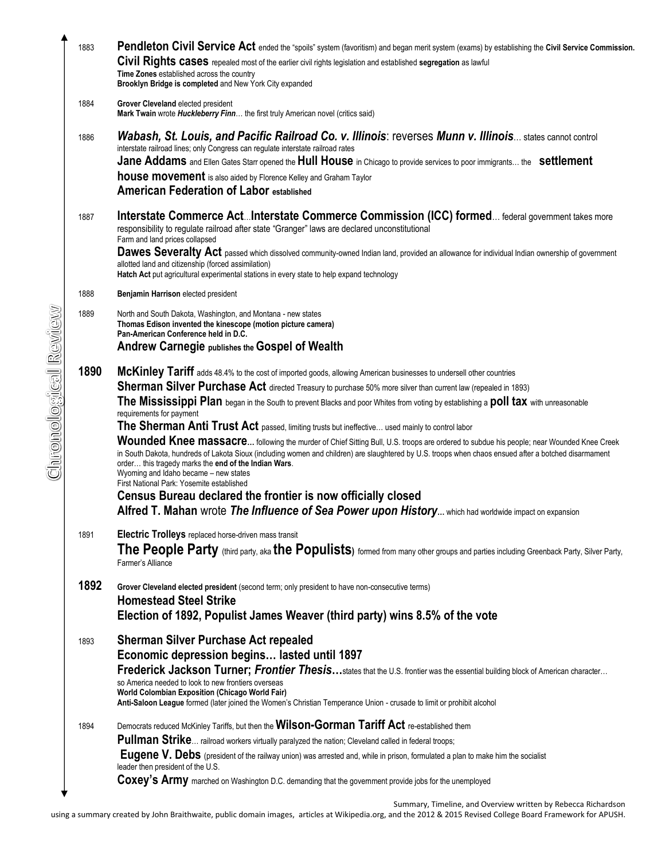| 1883 | Pendleton Civil Service Act ended the "spoils" system (favoritism) and began merit system (exams) by establishing the Civil Service Commission.                                                               |
|------|---------------------------------------------------------------------------------------------------------------------------------------------------------------------------------------------------------------|
|      | Civil Rights cases repealed most of the earlier civil rights legislation and established segregation as lawful                                                                                                |
|      | Time Zones established across the country                                                                                                                                                                     |
|      | Brooklyn Bridge is completed and New York City expanded                                                                                                                                                       |
| 1884 | Grover Cleveland elected president                                                                                                                                                                            |
|      | Mark Twain wrote Huckleberry Finn the first truly American novel (critics said)                                                                                                                               |
| 1886 | <b>Wabash, St. Louis, and Pacific Railroad Co. v. Illinois: reverses Munn v. Illinois states cannot control</b>                                                                                               |
|      | interstate railroad lines; only Congress can regulate interstate railroad rates                                                                                                                               |
|      | Jane Addams and Ellen Gates Starr opened the Hull House in Chicago to provide services to poor immigrants the settlement                                                                                      |
|      | <b>house movement</b> is also aided by Florence Kelley and Graham Taylor                                                                                                                                      |
|      | <b>American Federation of Labor established</b>                                                                                                                                                               |
|      |                                                                                                                                                                                                               |
| 1887 | Interstate Commerce Act Interstate Commerce Commission (ICC) formed federal government takes more<br>responsibility to regulate railroad after state "Granger" laws are declared unconstitutional             |
|      | Farm and land prices collapsed                                                                                                                                                                                |
|      | Dawes Severalty Act passed which dissolved community-owned Indian land, provided an allowance for individual Indian ownership of government                                                                   |
|      | allotted land and citizenship (forced assimilation)                                                                                                                                                           |
|      | Hatch Act put agricultural experimental stations in every state to help expand technology                                                                                                                     |
| 1888 | Benjamin Harrison elected president                                                                                                                                                                           |
| 1889 | North and South Dakota, Washington, and Montana - new states                                                                                                                                                  |
|      | Thomas Edison invented the kinescope (motion picture camera)<br>Pan-American Conference held in D.C.                                                                                                          |
|      | <b>Andrew Carnegie publishes the Gospel of Wealth</b>                                                                                                                                                         |
|      |                                                                                                                                                                                                               |
| 1890 | McKinley Tariff adds 48.4% to the cost of imported goods, allowing American businesses to undersell other countries                                                                                           |
|      | <b>Sherman Silver Purchase Act</b> directed Treasury to purchase 50% more silver than current law (repealed in 1893)                                                                                          |
|      | The Mississippi Plan began in the South to prevent Blacks and poor Whites from voting by establishing a poll tax with unreasonable                                                                            |
|      | requirements for payment                                                                                                                                                                                      |
|      | The Sherman Anti Trust Act passed, limiting trusts but ineffective used mainly to control labor                                                                                                               |
|      | Wounded Knee massacre following the murder of Chief Sitting Bull, U.S. troops are ordered to subdue his people; near Wounded Knee Creek                                                                       |
|      | in South Dakota, hundreds of Lakota Sioux (including women and children) are slaughtered by U.S. troops when chaos ensued after a botched disarmament<br>order this tragedy marks the end of the Indian Wars. |
|      | Wyoming and Idaho became - new states                                                                                                                                                                         |
|      | First National Park: Yosemite established<br>Census Bureau declared the frontier is now officially closed                                                                                                     |
|      |                                                                                                                                                                                                               |
|      | Alfred T. Mahan wrote The Influence of Sea Power upon History which had worldwide impact on expansion                                                                                                         |
| 1891 | Electric Trolleys replaced horse-driven mass transit                                                                                                                                                          |
|      | The People Party (third party, aka the Populists) formed from many other groups and parties including Greenback Party, Silver Party,                                                                          |
|      | Farmer's Alliance                                                                                                                                                                                             |
| 1892 |                                                                                                                                                                                                               |
|      | Grover Cleveland elected president (second term; only president to have non-consecutive terms)<br><b>Homestead Steel Strike</b>                                                                               |
|      | Election of 1892, Populist James Weaver (third party) wins 8.5% of the vote                                                                                                                                   |
|      |                                                                                                                                                                                                               |
| 1893 | <b>Sherman Silver Purchase Act repealed</b>                                                                                                                                                                   |
|      | Economic depression begins lasted until 1897                                                                                                                                                                  |
|      | Frederick Jackson Turner; Frontier Thesisstates that the U.S. frontier was the essential building block of American character                                                                                 |
|      | so America needed to look to new frontiers overseas<br><b>World Colombian Exposition (Chicago World Fair)</b>                                                                                                 |
|      | Anti-Saloon League formed (later joined the Women's Christian Temperance Union - crusade to limit or prohibit alcohol                                                                                         |
|      |                                                                                                                                                                                                               |
| 1894 | Democrats reduced McKinley Tariffs, but then the Wilson-Gorman Tariff Act re-established them                                                                                                                 |
|      | Pullman Strike railroad workers virtually paralyzed the nation; Cleveland called in federal troops;                                                                                                           |
|      | Eugene V. Debs (president of the railway union) was arrested and, while in prison, formulated a plan to make him the socialist<br>leader then president of the U.S.                                           |
|      | Coxey's Army marched on Washington D.C. demanding that the government provide jobs for the unemployed                                                                                                         |
|      |                                                                                                                                                                                                               |

Summary, Timeline, and Overview written by Rebecca Richardson

using a summary created by John Braithwaite, public domain images, articles at Wikipedia.org, and the 2012 & 2015 Revised College Board Framework for APUSH.